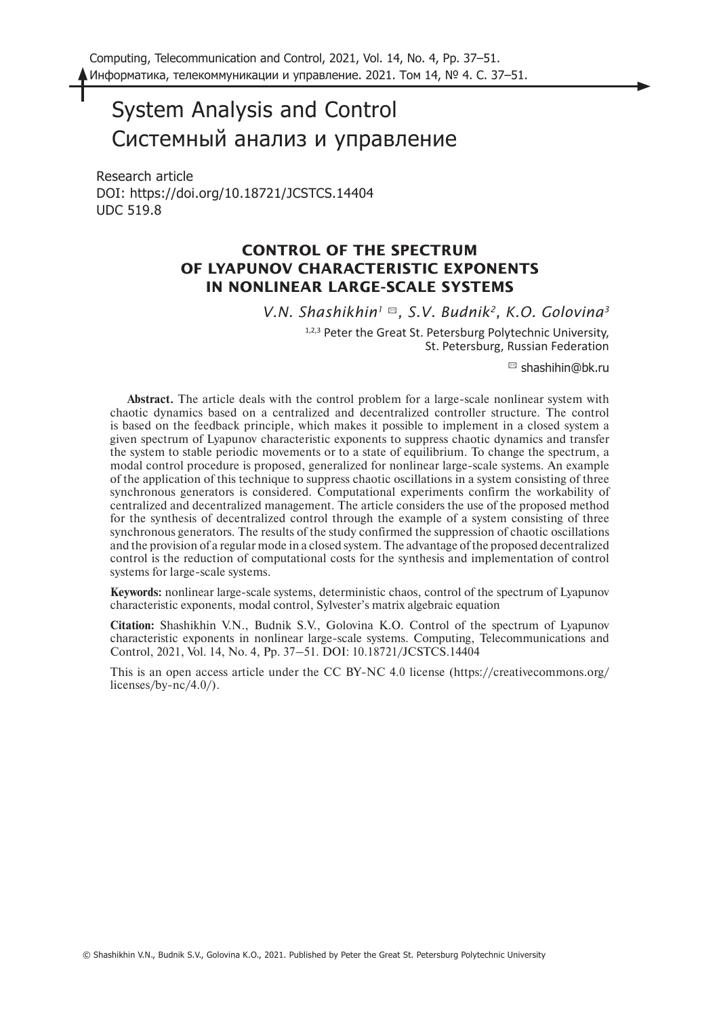# System Analysis and Control Системный анализ и управление

Research article DOI: https://doi.org/10.18721/JCSTCS.14404 UDC 519.8

# **CONTROL OF THE SPECTRUM OF LYAPUNOV CHARACTERISTIC EXPONENTS IN NONLINEAR LARGE-SCALE SYSTEMS**

*V.N. Shashikhin1* ✉*, S.V. Budnik2, K.O. Golovina3*

1,2,3 Peter the Great St. Petersburg Polytechnic University, St. Petersburg, Russian Federation

 $\boxtimes$  shashihin@bk.ru

**Abstract.** The article deals with the control problem for a large-scale nonlinear system with chaotic dynamics based on a centralized and decentralized controller structure. The control is based on the feedback principle, which makes it possible to implement in a closed system a given spectrum of Lyapunov characteristic exponents to suppress chaotic dynamics and transfer the system to stable periodic movements or to a state of equilibrium. To change the spectrum, a modal control procedure is proposed, generalized for nonlinear large-scale systems. An example of the application of this technique to suppress chaotic oscillations in a system consisting of three synchronous generators is considered. Computational experiments confirm the workability of centralized and decentralized management. The article considers the use of the proposed method for the synthesis of decentralized control through the example of a system consisting of three synchronous generators. The results of the study confirmed the suppression of chaotic oscillations and the provision of a regular mode in a closed system. The advantage of the proposed decentralized control is the reduction of computational costs for the synthesis and implementation of control systems for large-scale systems.

**Keywords:** nonlinear large-scale systems, deterministic chaos, control of the spectrum of Lyapunov characteristic exponents, modal control, Sylvester's matrix algebraic equation

**Citation:** Shashikhin V.N., Budnik S.V., Golovina K.O. Control of the spectrum of Lyapunov characteristic exponents in nonlinear large-scale systems. Computing, Telecommunications and Control, 2021, Vol. 14, No. 4, Pp. 37–51. DOI: 10.18721/JCSTCS.14404

This is an open access article under the CC BY-NC 4.0 license (https://creativecommons.org/ licenses/by-nc/4.0/).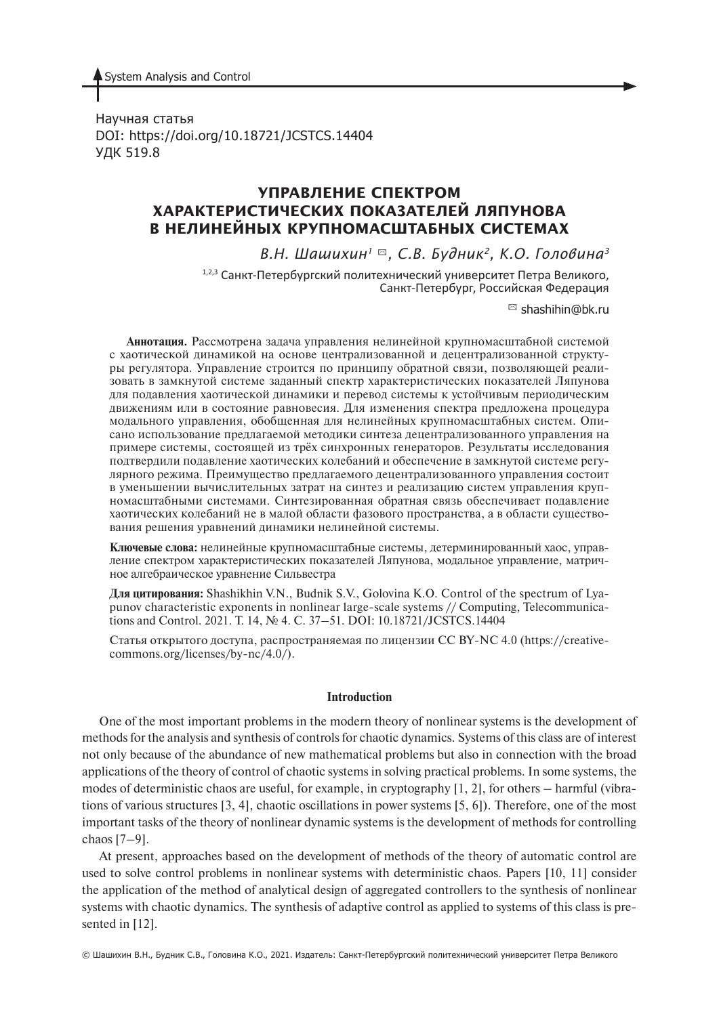System Analysis and Control

Научная статья DOI: https://doi.org/10.18721/JCSTCS.14404 УДК 519.8

# **УПРАВЛЕНИЕ СПЕКТРОМ ХАРАКТЕРИСТИЧЕСКИХ ПОКАЗАТЕЛЕЙ ЛЯПУНОВА В НЕЛИНЕЙНЫХ КРУПНОМАСШТАБНЫХ СИСТЕМАХ**

## *В.Н. Шашихин1* ✉*, С.В. Будник2, К.О. Головина3*

1,2,3 Санкт-Петербургский политехнический университет Петра Великого, Санкт-Петербург, Российская Федерация

 $\boxtimes$  shashihin@bk.ru

**Аннотация.** Рассмотрена задача управления нелинейной крупномасштабной системой с хаотической динамикой на основе централизованной и децентрализованной структуры регулятора. Управление строится по принципу обратной связи, позволяющей реализовать в замкнутой системе заданный спектр характеристических показателей Ляпунова для подавления хаотической динамики и перевод системы к устойчивым периодическим движениям или в состояние равновесия. Для изменения спектра предложена процедура модального управления, обобщенная для нелинейных крупномасштабных систем. Описано использование предлагаемой методики синтеза децентрализованного управления на примере системы, состоящей из трёх синхронных генераторов. Результаты исследования подтвердили подавление хаотических колебаний и обеспечение в замкнутой системе регулярного режима. Преимущество предлагаемого децентрализованного управления состоит в уменьшении вычислительных затрат на синтез и реализацию систем управления крупномасштабными системами. Синтезированная обратная связь обеспечивает подавление хаотических колебаний не в малой области фазового пространства, а в области существования решения уравнений динамики нелинейной системы.

**Ключевые слова:** нелинейные крупномасштабные системы, детерминированный хаос, управление спектром характеристических показателей Ляпунова, модальное управление, матричное алгебраическое уравнение Сильвестра

**Для цитирования:** Shashikhin V.N., Budnik S.V., Golovina K.O. Control of the spectrum of Lyapunov characteristic exponents in nonlinear large-scale systems // Computing, Telecommunications and Control. 2021. Т. 14, № 4. С. 37–51. DOI: 10.18721/JCSTCS.14404

Cтатья открытого доступа, распространяемая по лицензии CC BY-NC 4.0 (https://creativecommons.org/licenses/by-nc/4.0/).

#### **Introduction**

One of the most important problems in the modern theory of nonlinear systems is the development of methods for the analysis and synthesis of controls for chaotic dynamics. Systems of this class are of interest not only because of the abundance of new mathematical problems but also in connection with the broad applications of the theory of control of chaotic systems in solving practical problems. In some systems, the modes of deterministic chaos are useful, for example, in cryptography [1, 2], for others – harmful (vibrations of various structures [3, 4], chaotic oscillations in power systems [5, 6]). Therefore, one of the most important tasks of the theory of nonlinear dynamic systems is the development of methods for controlling chaos [7–9].

At present, approaches based on the development of methods of the theory of automatic control are used to solve control problems in nonlinear systems with deterministic chaos. Papers [10, 11] consider the application of the method of analytical design of aggregated controllers to the synthesis of nonlinear systems with chaotic dynamics. The synthesis of adaptive control as applied to systems of this class is presented in [12].

© Шашихин В.Н., Будник С.В., Головина К.О., 2021. Издатель: Санкт-Петербургский политехнический университет Петра Великого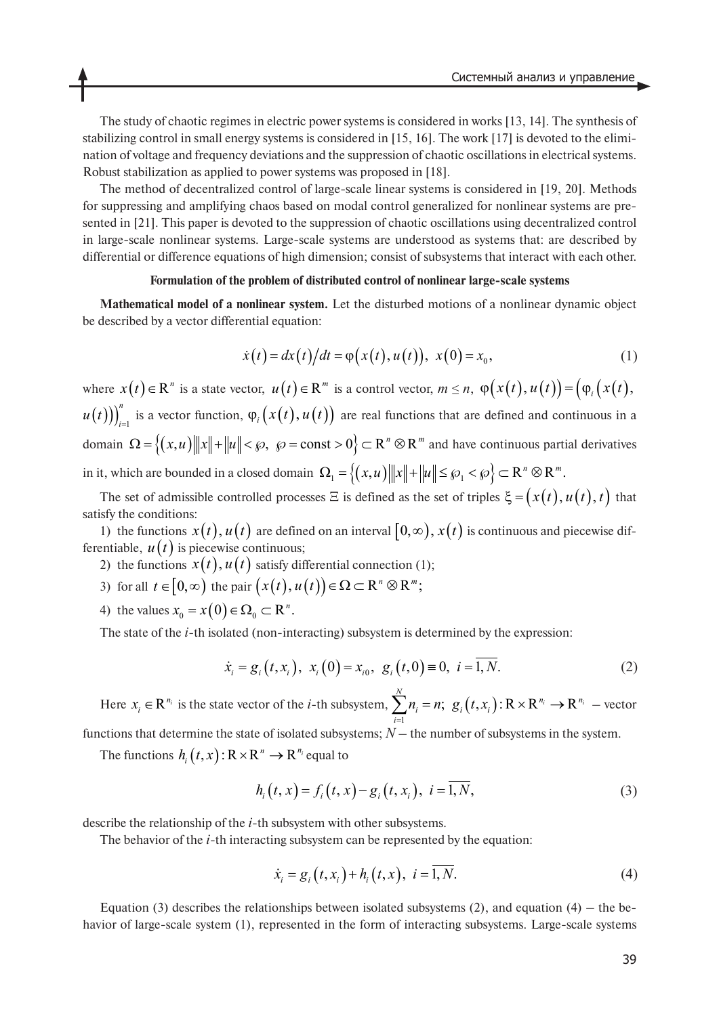The study of chaotic regimes in electric power systems is considered in works [13, 14]. The synthesis of stabilizing control in small energy systems is considered in [15, 16]. The work [17] is devoted to the elimination of voltage and frequency deviations and the suppression of chaotic oscillations in electrical systems. Robust stabilization as applied to power systems was proposed in [18].

The method of decentralized control of large-scale linear systems is considered in [19, 20]. Methods for suppressing and amplifying chaos based on modal control generalized for nonlinear systems are presented in [21]. This paper is devoted to the suppression of chaotic oscillations using decentralized control in large-scale nonlinear systems. Large-scale systems are understood as systems that: are described by differential or difference equations of high dimension; consist of subsystems that interact with each other.

#### **Formulation of the problem of distributed control of nonlinear large-scale systems**

**Mathematical model of a nonlinear system.** Let the disturbed motions of a nonlinear dynamic object be described by a vector differential equation:

$$
\dot{x}(t) = dx(t)/dt = \varphi(x(t), u(t)), \ x(0) = x_0,
$$
\n(1)

where  $x(t) \in \mathbb{R}^n$  is a state vector,  $u(t) \in \mathbb{R}^m$  is a control vector,  $m \le n$ ,  $\varphi(x(t), u(t)) = (\varphi_i(x(t), u(t)))$  $u(t)$ ))<sup>n</sup><sub>i-1</sub> is a vector function,  $\varphi_i(x(t), u(t))$  are real functions that are defined and continuous in a domain  $\Omega = \{(x, u) |||x|| + ||u|| < \wp, \ \wp = \text{const} > 0\} \subset \mathbb{R}^n \otimes \mathbb{R}^m$  and have continuous partial derivatives in it, which are bounded in a closed domain  $\Omega_1 = \left\{(x, u) \big\| \|x\| + \|u\| \leq \wp_1 < \wp \right\} \subset \mathbb{R}^n \otimes \mathbb{R}^m$ .

The set of admissible controlled processes  $\Xi$  is defined as the set of triples  $\xi = (x(t), u(t), t)$  that satisfy the conditions:

1) the functions  $x(t)$ ,  $u(t)$  are defined on an interval  $[0, \infty)$ ,  $x(t)$  is continuous and piecewise differentiable,  $u(t)$  is piecewise continuous;

- 2) the functions  $x(t)$ ,  $u(t)$  satisfy differential connection (1);
- 3) for all  $t \in [0, \infty)$  the pair  $(x(t), u(t)) \in \Omega \subset \mathbb{R}^n \otimes \mathbb{R}^m$ ;
- 4) the values  $x_0 = x(0) \in \Omega_0 \subset \mathbb{R}^n$ .

The state of the *i*-th isolated (non-interacting) subsystem is determined by the expression:

$$
\dot{x}_i = g_i(t, x_i), \ x_i(0) = x_{i0}, \ g_i(t, 0) \equiv 0, \ i = \overline{1, N}.
$$
 (2)

Here  $x_i \in \mathbb{R}^{n_i}$  is the state vector of the *i*-th subsystem,  $\sum n_i = n$ ;  $g_i(t, x_i)$ :  $\mathbb{R} \times \mathbb{R}^{n_i} \to \mathbb{R}^{n_i}$  – vector 1  $,\sum_{i=1}^{N}n_{i} = n;\;g_{i}(t,x_{i}):R\times R^{n_{i}}\rightarrow R^{n_{i}}$  $\mathbf{z}_i - \mathbf{u}_i, \ \mathbf{z}_i \mathbf{u}_i, \mathbf{v}_i$ *i*  $n_i = n; g_i(t, x)$  $\sum_{i=1}^n n_i = n; \ g_i(t, x_i) : \mathbb{R} \times \mathbb{R}^{n_i} \rightarrow$ 

functions that determine the state of isolated subsystems; *N* – the number of subsystems in the system.

The functions  $h_i(t, x): \mathbb{R} \times \mathbb{R}^n \to \mathbb{R}^{n_i}$  equal to

$$
h_i(t, x) = f_i(t, x) - g_i(t, x_i), \ i = \overline{1, N}, \tag{3}
$$

describe the relationship of the *i*-th subsystem with other subsystems.

The behavior of the *i*-th interacting subsystem can be represented by the equation:

$$
\dot{x}_i = g_i(t, x_i) + h_i(t, x), \ i = \overline{1, N}.
$$
 (4)

Equation (3) describes the relationships between isolated subsystems (2), and equation (4) – the behavior of large-scale system (1), represented in the form of interacting subsystems. Large-scale systems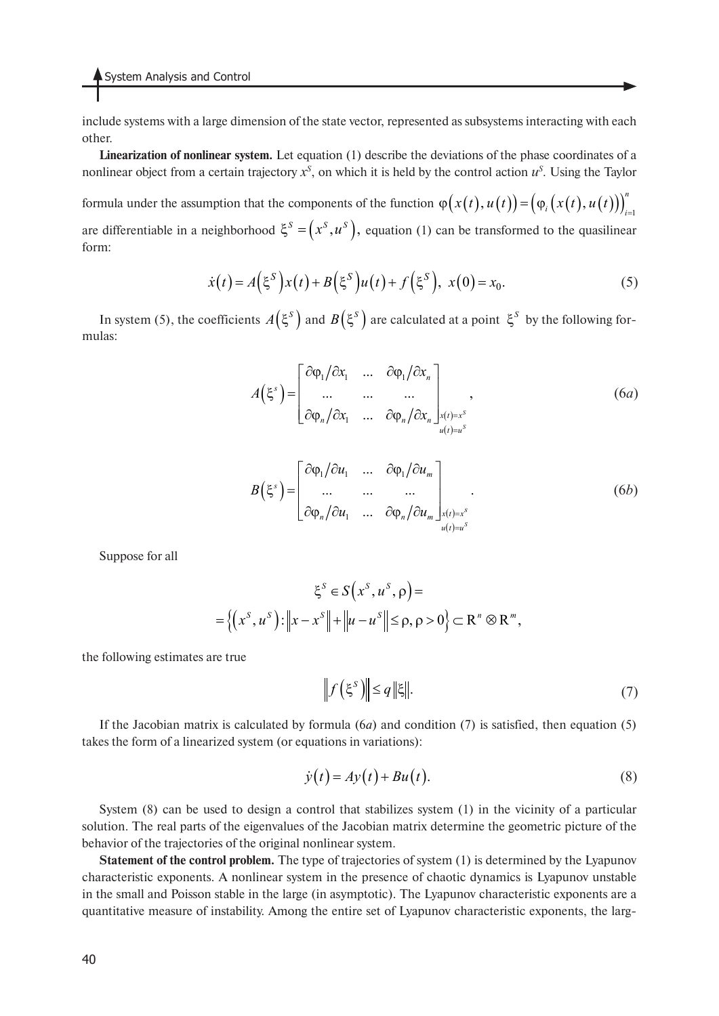include systems with a large dimension of the state vector, represented as subsystems interacting with each other.

**Linearization of nonlinear system.** Let equation (1) describe the deviations of the phase coordinates of a nonlinear object from a certain trajectory  $x^S$ , on which it is held by the control action  $u^S$ . Using the Taylor

formula under the assumption that the components of the function  $\varphi\big(x(t),u(t)\big)\bigg) = \big(\varphi_i\big(x(t),u(t)\big)\big)_{i=1}^n$ are differentiable in a neighborhood  $\xi^S = (x^S, u^S)$ , equation (1) can be transformed to the quasilinear form:

$$
\dot{x}(t) = A(\xi^S) x(t) + B(\xi^S) u(t) + f(\xi^S), \ x(0) = x_0.
$$
\n(5)

In system (5), the coefficients  $A(\xi^s)$  and  $B(\xi^s)$  are calculated at a point  $\xi^s$  by the following formulas:

$$
A(\xi^s) = \begin{bmatrix} \frac{\partial \varphi_1}{\partial x_1} & \dots & \frac{\partial \varphi_1}{\partial x_n} \\ \dots & \dots & \dots \\ \frac{\partial \varphi_n}{\partial x_1} & \dots & \frac{\partial \varphi_n}{\partial x_n} \end{bmatrix}_{\substack{x(t) = x^s \\ u(t) = u^s}} ,
$$
 (6*a*)

$$
B(\xi^s) = \begin{bmatrix} \frac{\partial \varphi_1}{\partial u_1} & \cdots & \frac{\partial \varphi_1}{\partial u_m} \\ \cdots & \cdots & \cdots \\ \frac{\partial \varphi_n}{\partial u_1} & \cdots & \frac{\partial \varphi_n}{\partial u_m} \end{bmatrix}_{\substack{x(t)=x^s \\ u(t)=u^s}}.
$$
 (6*b*)

Suppose for all

$$
\xi^{S} \in S(x^{S}, u^{S}, \rho) =
$$
  
= { $(x^{S}, u^{S}) : ||x - x^{S}|| + ||u - u^{S}|| \le \rho, \rho > 0$ }  $\subset \mathbb{R}^{n} \otimes \mathbb{R}^{m}$ ,

the following estimates are true

$$
\left\| f\left(\xi^{S}\right) \right\| \leq q \left\|\xi\right\|.\tag{7}
$$

If the Jacobian matrix is calculated by formula (6*a*) and condition (7) is satisfied, then equation (5) takes the form of a linearized system (or equations in variations):

$$
\dot{y}(t) = Ay(t) + Bu(t). \tag{8}
$$

System (8) can be used to design a control that stabilizes system (1) in the vicinity of a particular solution. The real parts of the eigenvalues of the Jacobian matrix determine the geometric picture of the behavior of the trajectories of the original nonlinear system.

**Statement of the control problem.** The type of trajectories of system (1) is determined by the Lyapunov characteristic exponents. A nonlinear system in the presence of chaotic dynamics is Lyapunov unstable in the small and Poisson stable in the large (in asymptotic). The Lyapunov characteristic exponents are a quantitative measure of instability. Among the entire set of Lyapunov characteristic exponents, the larg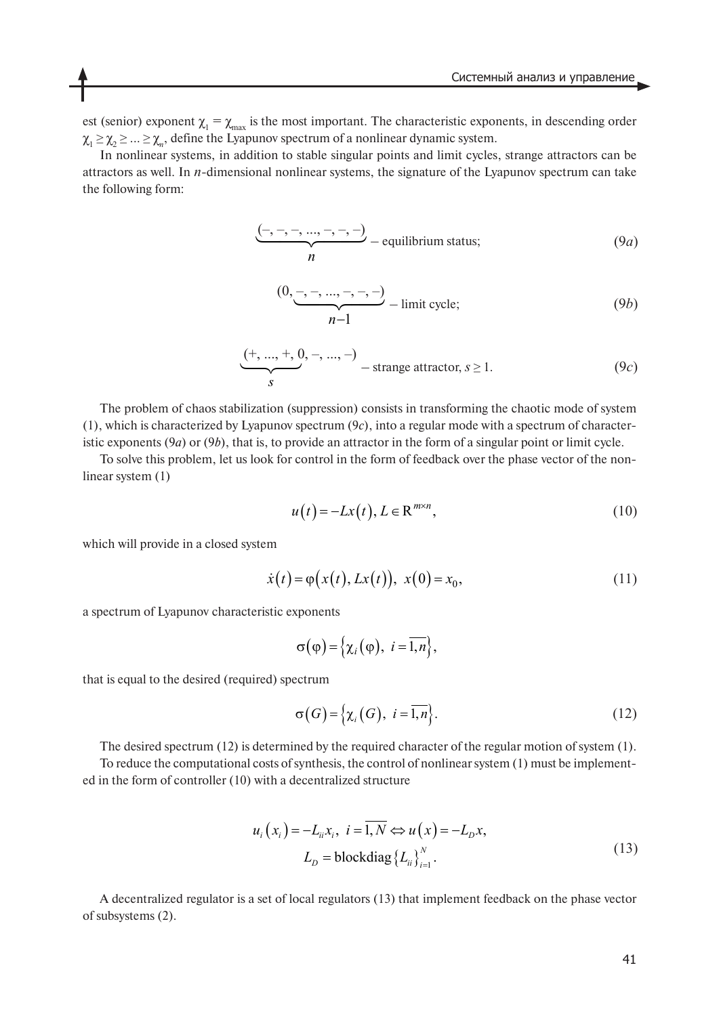est (senior) exponent  $\chi_1 = \chi_{\text{max}}$  is the most important. The characteristic exponents, in descending order  $\chi_1 \geq \chi_2 \geq \ldots \geq \chi_n$ , define the Lyapunov spectrum of a nonlinear dynamic system.

In nonlinear systems, in addition to stable singular points and limit cycles, strange attractors can be attractors as well. In *n*-dimensional nonlinear systems, the signature of the Lyapunov spectrum can take the following form:

$$
\underbrace{(-,-,-,\dots,-,-)}_{n}
$$
 - equilibrium status; (9*a*)

$$
\underbrace{(0, -, -, ..., -, -, -)}_{n-1} - \text{limit cycle};
$$
\n(9b)

$$
\underbrace{(+, ..., +, 0, -, ..., -)}_{S}
$$
 - strange attractor,  $s \ge 1$ . (9*c*)

The problem of chaos stabilization (suppression) consists in transforming the chaotic mode of system (1), which is characterized by Lyapunov spectrum (9*c*), into a regular mode with a spectrum of characteristic exponents (9*a*) or (9*b*), that is, to provide an attractor in the form of a singular point or limit cycle.

To solve this problem, let us look for control in the form of feedback over the phase vector of the nonlinear system (1)

$$
u(t) = -Lx(t), L \in \mathbb{R}^{m \times n},\tag{10}
$$

which will provide in a closed system

$$
\dot{x}(t) = \varphi(x(t), Lx(t)), \ x(0) = x_0,
$$
\n(11)

a spectrum of Lyapunov characteristic exponents

$$
\sigma(\varphi) = \left\{ \chi_i(\varphi), \ i = \overline{1,n} \right\},\
$$

that is equal to the desired (required) spectrum

$$
\sigma(G) = \left\{ \chi_i(G), \ i = \overline{1, n} \right\}.
$$
 (12)

The desired spectrum (12) is determined by the required character of the regular motion of system (1). To reduce the computational costs of synthesis, the control of nonlinear system (1) must be implemented in the form of controller (10) with a decentralized structure

$$
u_i(x_i) = -L_{ii}x_i, \ i = \overline{1, N} \Leftrightarrow u(x) = -L_{D}x,
$$
  

$$
L_{D} = \text{blockdiag}\{L_{ii}\}_{i=1}^{N}.
$$
 (13)

A decentralized regulator is a set of local regulators (13) that implement feedback on the phase vector of subsystems (2).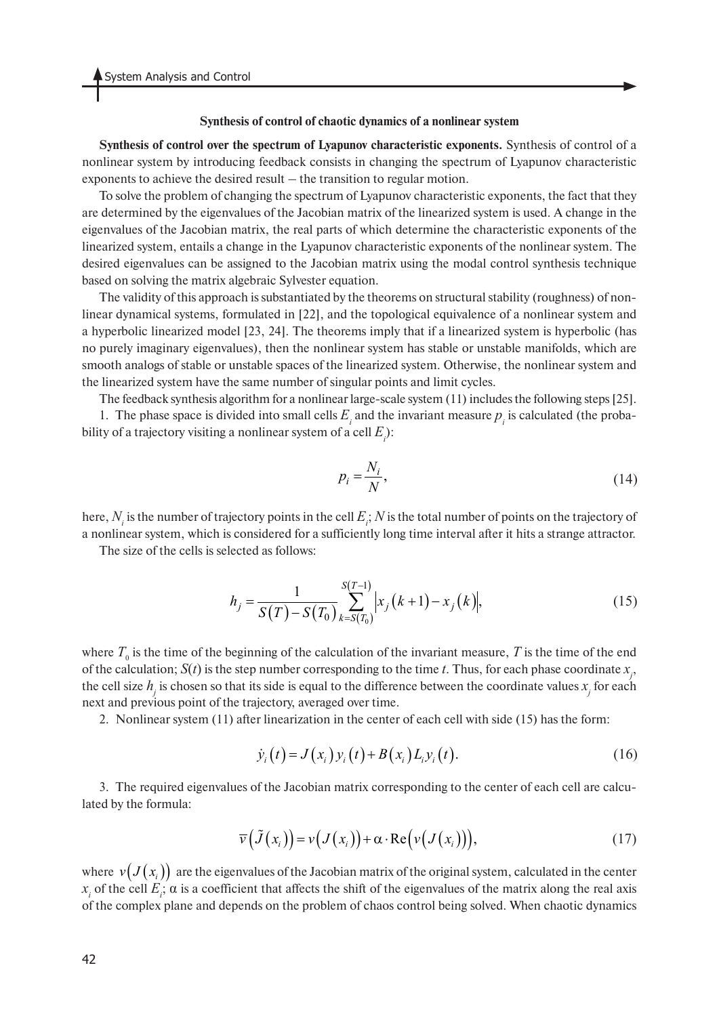#### **Synthesis of control of chaotic dynamics of a nonlinear system**

**Synthesis of control over the spectrum of Lyapunov characteristic exponents.** Synthesis of control of a nonlinear system by introducing feedback consists in changing the spectrum of Lyapunov characteristic exponents to achieve the desired result – the transition to regular motion.

To solve the problem of changing the spectrum of Lyapunov characteristic exponents, the fact that they are determined by the eigenvalues of the Jacobian matrix of the linearized system is used. A change in the eigenvalues of the Jacobian matrix, the real parts of which determine the characteristic exponents of the linearized system, entails a change in the Lyapunov characteristic exponents of the nonlinear system. The desired eigenvalues can be assigned to the Jacobian matrix using the modal control synthesis technique based on solving the matrix algebraic Sylvester equation.

The validity of this approach is substantiated by the theorems on structural stability (roughness) of nonlinear dynamical systems, formulated in [22], and the topological equivalence of a nonlinear system and a hyperbolic linearized model [23, 24]. The theorems imply that if a linearized system is hyperbolic (has no purely imaginary eigenvalues), then the nonlinear system has stable or unstable manifolds, which are smooth analogs of stable or unstable spaces of the linearized system. Otherwise, the nonlinear system and the linearized system have the same number of singular points and limit cycles.

The feedback synthesis algorithm for a nonlinear large-scale system (11) includes the following steps [25].

1. The phase space is divided into small cells  $E_i$  and the invariant measure  $p_i$  is calculated (the probability of a trajectory visiting a nonlinear system of a cell  $E_i$ ):

$$
p_i = \frac{N_i}{N},\tag{14}
$$

here,  $N_i$  is the number of trajectory points in the cell  $E_i$ ;  $N$  is the total number of points on the trajectory of a nonlinear system, which is considered for a sufficiently long time interval after it hits a strange attractor.

The size of the cells is selected as follows:

$$
h_j = \frac{1}{S(T) - S(T_0)} \sum_{k=S(T_0)}^{S(T-1)} \left| x_j (k+1) - x_j (k) \right|, \tag{15}
$$

where  $T_0$  is the time of the beginning of the calculation of the invariant measure,  $T$  is the time of the end of the calculation;  $S(t)$  is the step number corresponding to the time *t*. Thus, for each phase coordinate  $x_j$ , the cell size  $h_j$  is chosen so that its side is equal to the difference between the coordinate values  $x_j$  for each next and previous point of the trajectory, averaged over time.

2. Nonlinear system (11) after linearization in the center of each cell with side (15) has the form:

$$
\dot{y}_i(t) = J(x_i) y_i(t) + B(x_i) L_i y_i(t).
$$
\n(16)

3. The required eigenvalues of the Jacobian matrix corresponding to the center of each cell are calculated by the formula:

$$
\overline{\nu}\big(\tilde{J}\big(x_i\big)\big) = \nu\big(J\big(x_i\big)\big) + \alpha \cdot \text{Re}\big(\nu\big(J\big(x_i\big)\big)\big),\tag{17}
$$

where  $v\big(J\big(x_i\big)\big)$  are the eigenvalues of the Jacobian matrix of the original system, calculated in the center  $x_i$  of the cell  $E_i$ ;  $\alpha$  is a coefficient that affects the shift of the eigenvalues of the matrix along the real axis of the complex plane and depends on the problem of chaos control being solved. When chaotic dynamics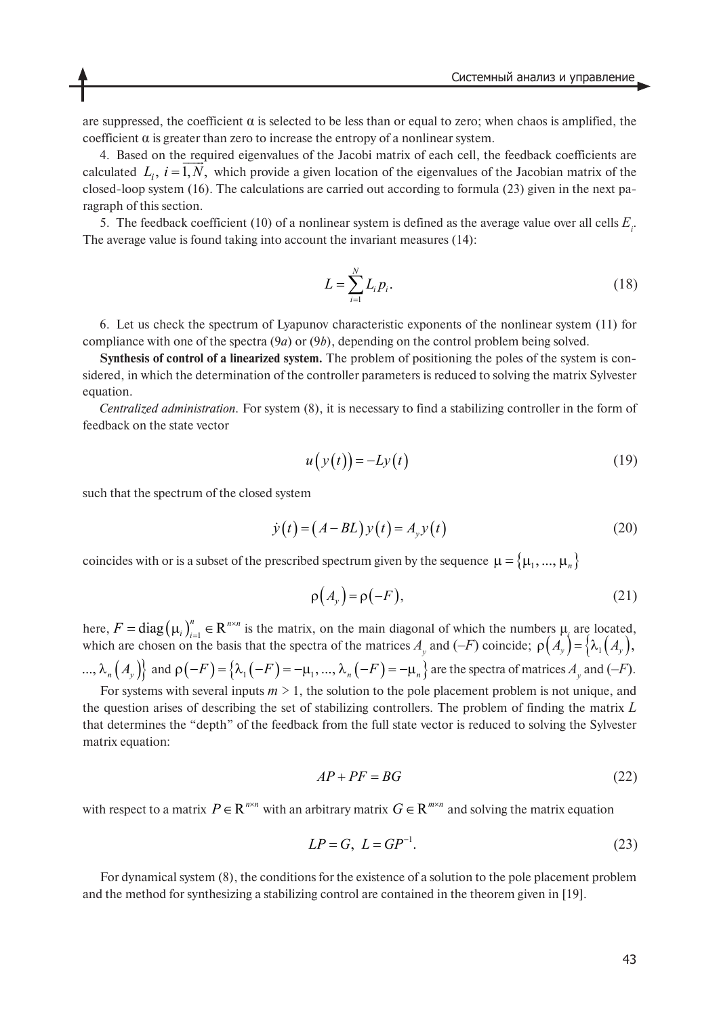are suppressed, the coefficient  $\alpha$  is selected to be less than or equal to zero; when chaos is amplified, the coefficient  $\alpha$  is greater than zero to increase the entropy of a nonlinear system.

4. Based on the required eigenvalues of the Jacobi matrix of each cell, the feedback coefficients are calculated  $L_i$ ,  $i = 1, N$ , which provide a given location of the eigenvalues of the Jacobian matrix of the closed-loop system (16). The calculations are carried out according to formula (23) given in the next paragraph of this section.

5. The feedback coefficient (10) of a nonlinear system is defined as the average value over all cells  $E_i$ . The average value is found taking into account the invariant measures (14):

$$
L = \sum_{i=1}^{N} L_i p_i.
$$
 (18)

6. Let us check the spectrum of Lyapunov characteristic exponents of the nonlinear system (11) for compliance with one of the spectra (9*a*) or (9*b*), depending on the control problem being solved.

**Synthesis of control of a linearized system.** The problem of positioning the poles of the system is considered, in which the determination of the controller parameters is reduced to solving the matrix Sylvester equation.

*Centralized administration.* For system (8), it is necessary to find a stabilizing controller in the form of feedback on the state vector

$$
u(y(t)) = -Ly(t)
$$
 (19)

such that the spectrum of the closed system

$$
\dot{y}(t) = (A - BL)y(t) = A_y y(t)
$$
\n(20)

coincides with or is a subset of the prescribed spectrum given by the sequence  $\mu = \{\mu_1, ..., \mu_n\}$ 

$$
\rho(A_y) = \rho(-F),\tag{21}
$$

here,  $F = diag(\mu_i)_{i=1}^n \in \mathbb{R}^{n \times n}$  is the matrix, on the main diagonal of which the numbers  $\mu_i$  are located, which are chosen on the basis that the spectra of the matrices  $A<sub>y</sub>$  and  $(-F)$  coincide;  $F = \text{diag}(\mu_i)_{i=1}^n \in \mathbb{R}^{n \times n}$  $\rho(A_y) = \{ \lambda_1(A_y), \lambda_2(B_y), \lambda_3(B_y), \lambda_4(C_x)\}$ 

...,  $\lambda_n\left(\left.A_\mathcal{Y}\right)\right\}$  and  $\rho\left(-F\right)=\left\{\lambda_1\left(-F\right)=-\mu_1,...,\lambda_n\left(-F\right)=-\mu_n\right\}$  are the spectra of matrices  $A_\mathcal{Y}$  and  $(-F).$ For systems with several inputs  $m > 1$ , the solution to the pole placement problem is not unique, and

the question arises of describing the set of stabilizing controllers. The problem of finding the matrix *L* that determines the "depth" of the feedback from the full state vector is reduced to solving the Sylvester matrix equation:

$$
AP + PF = BG \tag{22}
$$

with respect to a matrix  $P \in \mathbb{R}^{n \times n}$  with an arbitrary matrix  $G \in \mathbb{R}^{m \times n}$  and solving the matrix equation

$$
LP = G, \ L = GP^{-1}.
$$
\n
$$
(23)
$$

For dynamical system (8), the conditions for the existence of a solution to the pole placement problem and the method for synthesizing a stabilizing control are contained in the theorem given in [19].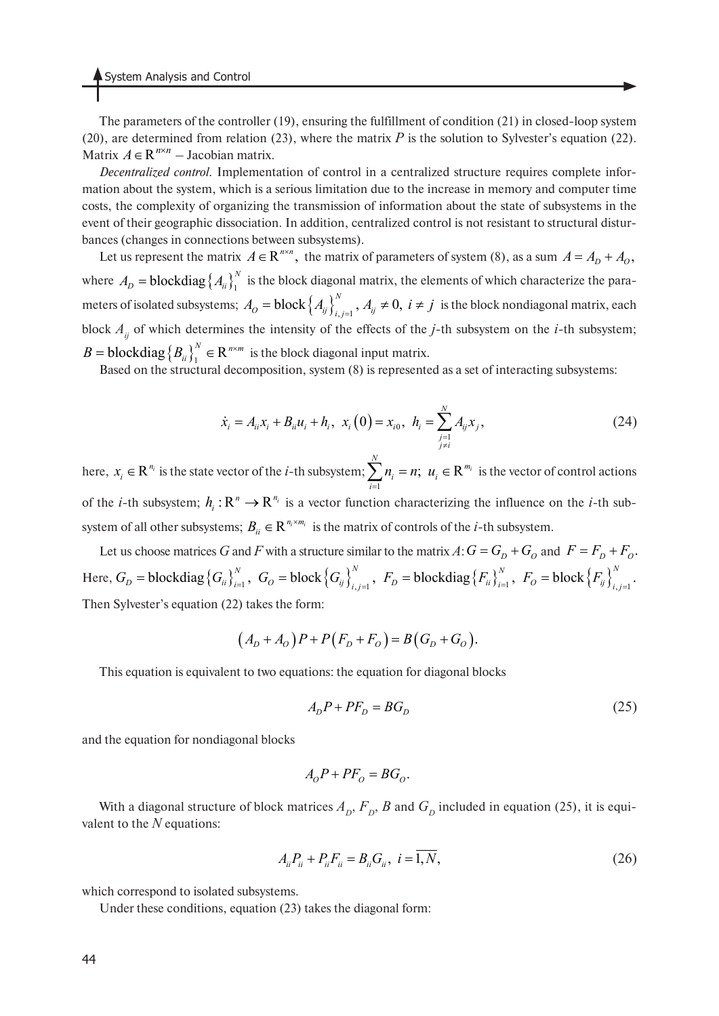The parameters of the controller (19), ensuring the fulfillment of condition (21) in closed-loop system (20), are determined from relation (23), where the matrix  $P$  is the solution to Sylvester's equation (22). Matrix  $A \in \mathbb{R}^{n \times n}$  – Jacobian matrix.

*Decentralized control.* Implementation of control in a centralized structure requires complete information about the system, which is a serious limitation due to the increase in memory and computer time costs, the complexity of organizing the transmission of information about the state of subsystems in the event of their geographic dissociation. In addition, centralized control is not resistant to structural disturbances (changes in connections between subsystems).

Let us represent the matrix  $A \in \mathbb{R}^{n \times n}$ , the matrix of parameters of system (8), as a sum  $A = A_D + A_O$ , where  $A_D$  = **blockdiag**  $\left\{ A_{ii} \right\}_1^N$  is the block diagonal matrix, the elements of which characterize the parameters of isolated subsystems;  $A_0 = \text{block} \left\{ A_{ij} \right\}_{i,j=1}^N$ ,  $A_{ij} \neq 0$ ,  $i \neq j$  is the block nondiagonal matrix, each block  $A_{ij}$  of which determines the intensity of the effects of the *j*-th subsystem on the *i*-th subsystem;  $B = \text{blockdiag}\left\{B_{ii}\right\}_{1}^{N} \in \mathbb{R}^{n \times m}$  is the block diagonal input matrix.

Based on the structural decomposition, system (8) is represented as a set of interacting subsystems:

$$
\dot{x}_i = A_{ii}x_i + B_{ii}u_i + h_i, \ \ x_i(0) = x_{i0}, \ \ h_i = \sum_{\substack{j=1 \ j \neq i}}^N A_{ij}x_j,
$$
\n(24)

here,  $x_i \in \mathbb{R}^{n_i}$  is the state vector of the *i*-th subsystem;  $\sum n_i = n$ ;  $u_i \in \mathbb{R}^{m_i}$  is the vector of control actions of the *i*-th subsystem;  $h_i: \mathbb{R}^n \to \mathbb{R}^{n_i}$  is a vector function characterizing the influence on the *i*-th subsystem of all other subsystems;  $B_{ii} \in \mathbb{R}^{n_i \times m_i}$  is the matrix of controls of the *i*-th subsystem. 1  $\sum_{i=1}^{N} n_i = n; u_i \in \mathbb{R}^{m_i}$  $u_i - u$ ,  $u_i$ *i*  $n_i = n$ ; u  $\sum_{i=1}^n n_i = n; u_i \in$ 

Let us choose matrices G and F with a structure similar to the matrix  $A: G = G_D + G_O$  and  $F = F_D + F_O$ . Here,  $G_D$  = blockdiag  $\{G_{ii}\}_{i=1}^N$ ,  $G_O$  = block  $\{G_{ij}\}_{i,j=1}^N$ ,  $F_D$  = blockdiag  $\{F_{ii}\}_{i=1}^N$ ,  $F_O$  = block  $\{F_{ij}\}_{i,j=1}^N$ . Then Sylvester's equation (22) takes the form:

$$
(A_D + A_O)P + P(F_D + F_O) = B(G_D + G_O).
$$

This equation is equivalent to two equations: the equation for diagonal blocks

$$
A_D P + P F_D = B G_D \tag{25}
$$

and the equation for nondiagonal blocks

$$
A_O P + PF_O = BG_O.
$$

With a diagonal structure of block matrices  $A_D$ ,  $F_D$ ,  $B$  and  $G_D$  included in equation (25), it is equivalent to the *N* equations:

$$
A_{ii}P_{ii} + P_{ii}F_{ii} = B_{ii}G_{ii}, \ i = \overline{1, N}, \tag{26}
$$

which correspond to isolated subsystems.

Under these conditions, equation (23) takes the diagonal form: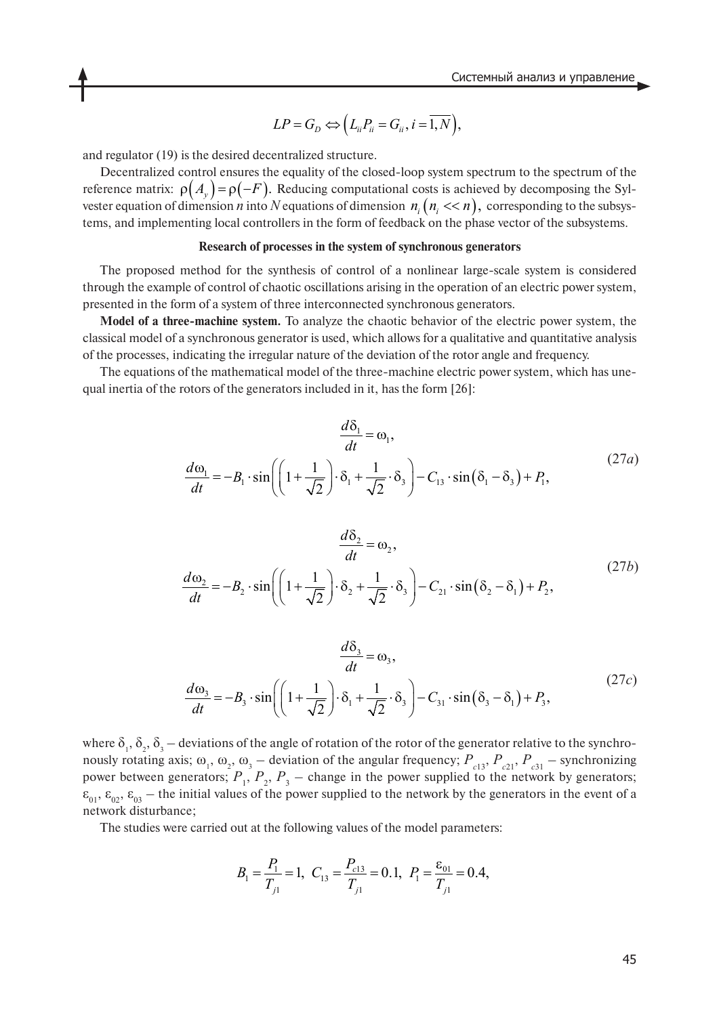$$
LP = G_D \Leftrightarrow \left(L_{ii}P_{ii} = G_{ii}, i = \overline{1,N}\right),
$$

and regulator (19) is the desired decentralized structure.

Decentralized control ensures the equality of the closed-loop system spectrum to the spectrum of the reference matrix:  $\rho(A_v) = \rho(-F)$ . Reducing computational costs is achieved by decomposing the Sylvester equation of dimension *n* into N equations of dimension  $n_i$  ( $n_i \ll n$ ), corresponding to the subsystems, and implementing local controllers in the form of feedback on the phase vector of the subsystems.  $\rho\left( A_{y}\right) =\rho\left( -F\right) .$  Reducing computational costs is achientimension *n* into *N* equations of dimension  $n_{i}$  ( $n_{i} << n$ ),

#### **Research of processes in the system of synchronous generators**

The proposed method for the synthesis of control of a nonlinear large-scale system is considered through the example of control of chaotic oscillations arising in the operation of an electric power system, presented in the form of a system of three interconnected synchronous generators.

**Model of a three-machine system.** To analyze the chaotic behavior of the electric power system, the classical model of a synchronous generator is used, which allows for a qualitative and quantitative analysis of the processes, indicating the irregular nature of the deviation of the rotor angle and frequency.

The equations of the mathematical model of the three-machine electric power system, which has unequal inertia of the rotors of the generators included in it, has the form [26]:

 $\overline{a}$ 

$$
\frac{d\delta_1}{dt} = \omega_1,
$$
  

$$
\frac{d\omega_1}{dt} = -B_1 \cdot \sin\left(\left(1 + \frac{1}{\sqrt{2}}\right) \cdot \delta_1 + \frac{1}{\sqrt{2}} \cdot \delta_3\right) - C_{13} \cdot \sin\left(\delta_1 - \delta_3\right) + P_1,
$$
\n(27*a*)

$$
\frac{d\delta_2}{dt} = \omega_2,
$$
  

$$
\frac{d\omega_2}{dt} = -B_2 \cdot \sin\left(\left(1 + \frac{1}{\sqrt{2}}\right) \cdot \delta_2 + \frac{1}{\sqrt{2}} \cdot \delta_3\right) - C_{21} \cdot \sin\left(\delta_2 - \delta_1\right) + P_2,
$$
\n(27b)

$$
\frac{d\delta_3}{dt} = \omega_3,
$$
  

$$
\frac{d\omega_3}{dt} = -B_3 \cdot \sin\left(\left(1 + \frac{1}{\sqrt{2}}\right) \cdot \delta_1 + \frac{1}{\sqrt{2}} \cdot \delta_3\right) - C_{31} \cdot \sin\left(\delta_3 - \delta_1\right) + P_3,
$$
\n(27*c*)

where  $\delta_1, \delta_2, \delta_3$  – deviations of the angle of rotation of the rotor of the generator relative to the synchronously rotating axis;  $\omega_1$ ,  $\omega_2$ ,  $\omega_3$  – deviation of the angular frequency;  $P_{c13}$ ,  $P_{c21}$ ,  $P_{c31}$  – synchronizing power between generators;  $P_1$ ,  $P_2$ ,  $P_3$  – change in the power supplied to the network by generators;  $\epsilon_{01}$ ,  $\epsilon_{02}$ ,  $\epsilon_{03}$  – the initial values of the power supplied to the network by the generators in the event of a network disturbance;

The studies were carried out at the following values of the model parameters:

$$
B_1 = \frac{P_1}{T_{j1}} = 1, \ \ C_{13} = \frac{P_{c13}}{T_{j1}} = 0.1, \ \ P_1 = \frac{\varepsilon_{01}}{T_{j1}} = 0.4,
$$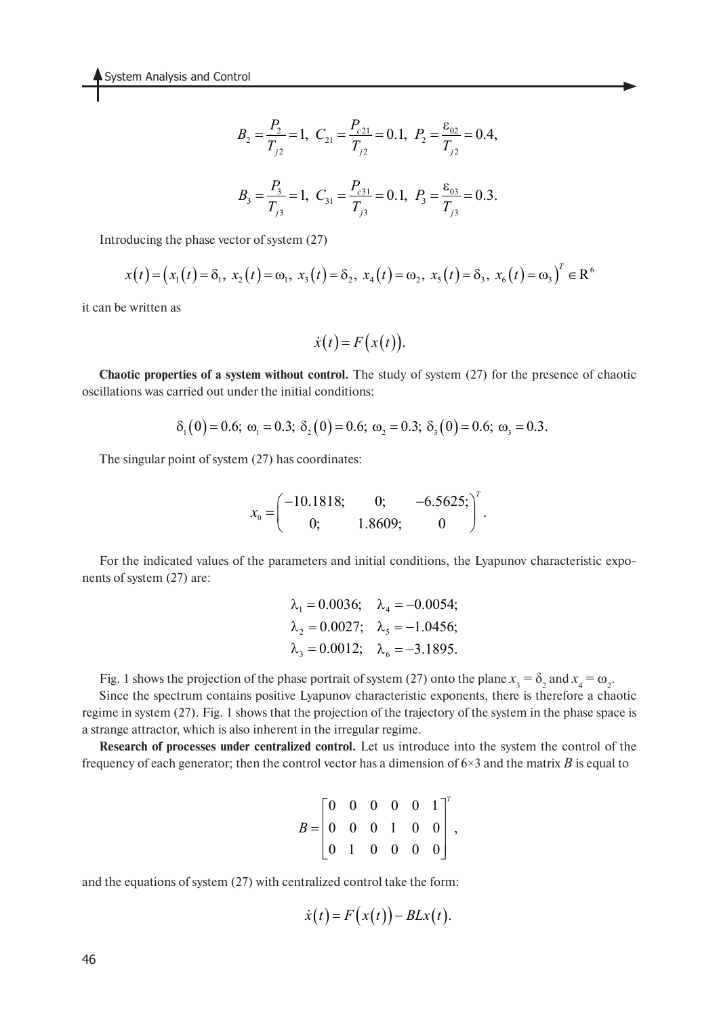$$
B_2 = \frac{P_2}{T_{j2}} = 1, \ \ C_{21} = \frac{P_{c21}}{T_{j2}} = 0.1, \ \ P_2 = \frac{\varepsilon_{02}}{T_{j2}} = 0.4,
$$
  

$$
B_3 = \frac{P_3}{T_{j3}} = 1, \ \ C_{31} = \frac{P_{c31}}{T_{j3}} = 0.1, \ \ P_3 = \frac{\varepsilon_{03}}{T_{j3}} = 0.3.
$$

Introducing the phase vector of system (27)

$$
x(t) = (x_1(t) = \delta_1, x_2(t) = \omega_1, x_3(t) = \delta_2, x_4(t) = \omega_2, x_5(t) = \delta_3, x_6(t) = \omega_3)^T \in \mathbb{R}^6
$$

it can be written as

$$
\dot{x}(t) = F(x(t)).
$$

**Chaotic properties of a system without control.** The study of system (27) for the presence of chaotic oscillations was carried out under the initial conditions:

$$
\delta_1(0) = 0.6; \ \omega_1 = 0.3; \ \delta_2(0) = 0.6; \ \omega_2 = 0.3; \ \delta_3(0) = 0.6; \ \omega_3 = 0.3.
$$

The singular point of system (27) has coordinates:

$$
x_0 = \begin{pmatrix} -10.1818; & 0; & -6.5625; \\ 0; & 1.8609; & 0 \end{pmatrix}^T.
$$

For the indicated values of the parameters and initial conditions, the Lyapunov characteristic exponents of system (27) are:

$$
\lambda_1 = 0.0036;
$$
  $\lambda_4 = -0.0054;$   
\n $\lambda_2 = 0.0027;$   $\lambda_5 = -1.0456;$   
\n $\lambda_3 = 0.0012;$   $\lambda_6 = -3.1895.$ 

Fig. 1 shows the projection of the phase portrait of system (27) onto the plane  $x_3 = \delta_2$  and  $x_4 = \omega_2$ .

Since the spectrum contains positive Lyapunov characteristic exponents, there is therefore a chaotic regime in system (27). Fig. 1 shows that the projection of the trajectory of the system in the phase space is a strange attractor, which is also inherent in the irregular regime.

**Research of processes under centralized control.** Let us introduce into the system the control of the frequency of each generator; then the control vector has a dimension of 6×3 and the matrix *B* is equal to

$$
B = \begin{bmatrix} 0 & 0 & 0 & 0 & 0 & 1 \\ 0 & 0 & 0 & 1 & 0 & 0 \\ 0 & 1 & 0 & 0 & 0 & 0 \end{bmatrix}^T,
$$

and the equations of system (27) with centralized control take the form:

$$
\dot{x}(t) = F(x(t)) - BLx(t).
$$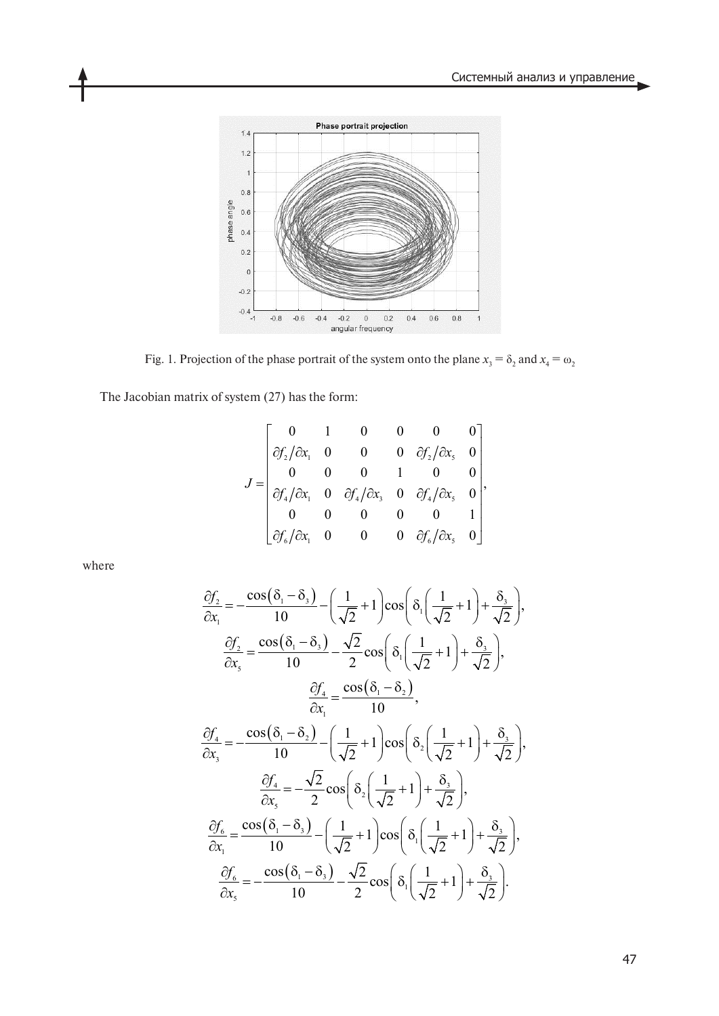

Fig. 1. Projection of the phase portrait of the system onto the plane  $x_3 = \delta_2$  and  $x_4 = \omega_2$ 

The Jacobian matrix of system (27) has the form:

$$
J = \begin{bmatrix} 0 & 1 & 0 & 0 & 0 & 0 \\ \partial f_2 / \partial x_1 & 0 & 0 & 0 & \partial f_2 / \partial x_5 & 0 \\ 0 & 0 & 0 & 1 & 0 & 0 \\ \partial f_4 / \partial x_1 & 0 & \partial f_4 / \partial x_3 & 0 & \partial f_4 / \partial x_5 & 0 \\ 0 & 0 & 0 & 0 & 0 & 1 \\ \partial f_6 / \partial x_1 & 0 & 0 & 0 & \partial f_6 / \partial x_5 & 0 \end{bmatrix},
$$

where

$$
\frac{\partial f_2}{\partial x_1} = -\frac{\cos(\delta_1 - \delta_3)}{10} - \left(\frac{1}{\sqrt{2}} + 1\right)\cos\left(\delta_1\left(\frac{1}{\sqrt{2}} + 1\right) + \frac{\delta_3}{\sqrt{2}}\right),
$$
  

$$
\frac{\partial f_2}{\partial x_5} = \frac{\cos(\delta_1 - \delta_3)}{10} - \frac{\sqrt{2}}{2}\cos\left(\delta_1\left(\frac{1}{\sqrt{2}} + 1\right) + \frac{\delta_3}{\sqrt{2}}\right),
$$
  

$$
\frac{\partial f_4}{\partial x_1} = \frac{\cos(\delta_1 - \delta_2)}{10},
$$
  

$$
\frac{\partial f_4}{\partial x_3} = -\frac{\cos(\delta_1 - \delta_2)}{10} - \left(\frac{1}{\sqrt{2}} + 1\right)\cos\left(\delta_2\left(\frac{1}{\sqrt{2}} + 1\right) + \frac{\delta_3}{\sqrt{2}}\right),
$$
  

$$
\frac{\partial f_4}{\partial x_5} = -\frac{\sqrt{2}}{2}\cos\left(\delta_2\left(\frac{1}{\sqrt{2}} + 1\right) + \frac{\delta_3}{\sqrt{2}}\right),
$$
  

$$
\frac{\partial f_6}{\partial x_1} = \frac{\cos(\delta_1 - \delta_3)}{10} - \left(\frac{1}{\sqrt{2}} + 1\right)\cos\left(\delta_1\left(\frac{1}{\sqrt{2}} + 1\right) + \frac{\delta_3}{\sqrt{2}}\right),
$$
  

$$
\frac{\partial f_6}{\partial x_5} = -\frac{\cos(\delta_1 - \delta_3)}{10} - \frac{\sqrt{2}}{2}\cos\left(\delta_1\left(\frac{1}{\sqrt{2}} + 1\right) + \frac{\delta_3}{\sqrt{2}}\right).
$$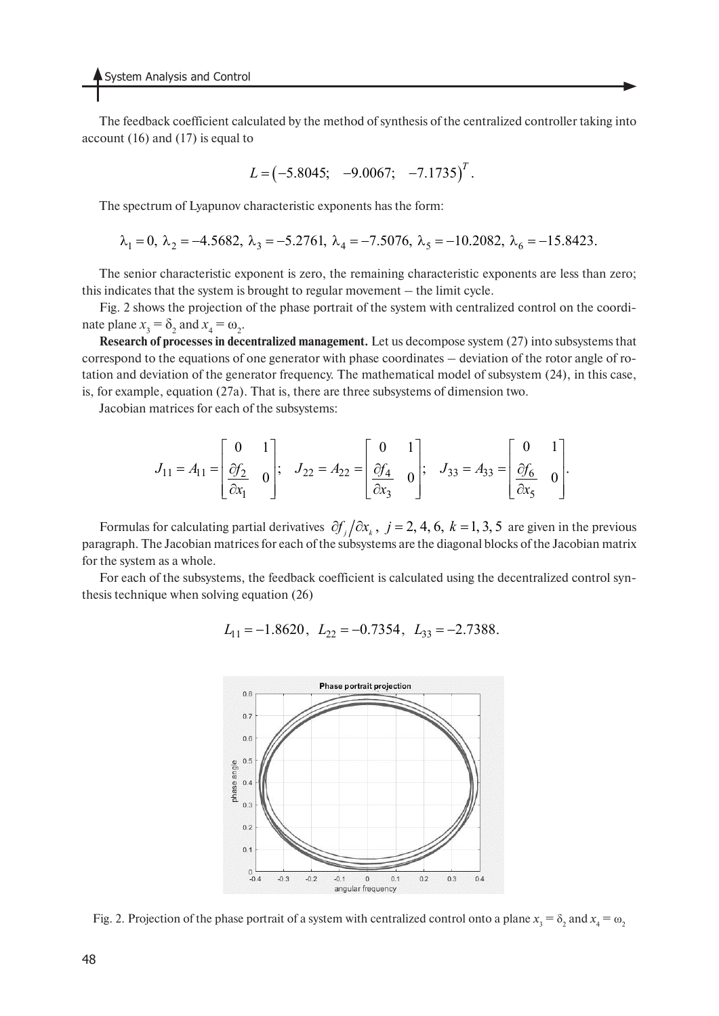The feedback coefficient calculated by the method of synthesis of the centralized controller taking into account (16) and (17) is equal to

$$
L = (-5.8045; -9.0067; -7.1735)^T
$$
.

The spectrum of Lyapunov characteristic exponents has the form:

$$
\lambda_1 = 0
$$
,  $\lambda_2 = -4.5682$ ,  $\lambda_3 = -5.2761$ ,  $\lambda_4 = -7.5076$ ,  $\lambda_5 = -10.2082$ ,  $\lambda_6 = -15.8423$ .

The senior characteristic exponent is zero, the remaining characteristic exponents are less than zero; this indicates that the system is brought to regular movement – the limit cycle.

Fig. 2 shows the projection of the phase portrait of the system with centralized control on the coordinate plane  $x_3 = \delta_2$  and  $x_4 = \omega_2$ .

**Research of processes in decentralized management.** Let us decompose system (27) into subsystems that correspond to the equations of one generator with phase coordinates – deviation of the rotor angle of rotation and deviation of the generator frequency. The mathematical model of subsystem (24), in this case, is, for example, equation (27a). That is, there are three subsystems of dimension two.

Jacobian matrices for each of the subsystems:

$$
J_{11} = A_{11} = \begin{bmatrix} 0 & 1 \\ \frac{\partial f_2}{\partial x_1} & 0 \end{bmatrix}; \quad J_{22} = A_{22} = \begin{bmatrix} 0 & 1 \\ \frac{\partial f_4}{\partial x_3} & 0 \end{bmatrix}; \quad J_{33} = A_{33} = \begin{bmatrix} 0 & 1 \\ \frac{\partial f_6}{\partial x_5} & 0 \end{bmatrix}.
$$

Formulas for calculating partial derivatives  $\partial f_j / \partial x_k$ ,  $j = 2, 4, 6, k = 1, 3, 5$  are given in the previous paragraph. The Jacobian matrices for each of the subsystems are the diagonal blocks of the Jacobian matrix for the system as a whole.

For each of the subsystems, the feedback coefficient is calculated using the decentralized control synthesis technique when solving equation (26)

$$
L_{11} = -1.8620
$$
,  $L_{22} = -0.7354$ ,  $L_{33} = -2.7388$ .



Fig. 2. Projection of the phase portrait of a system with centralized control onto a plane  $x_3 = \delta_2$  and  $x_4 = \omega_2$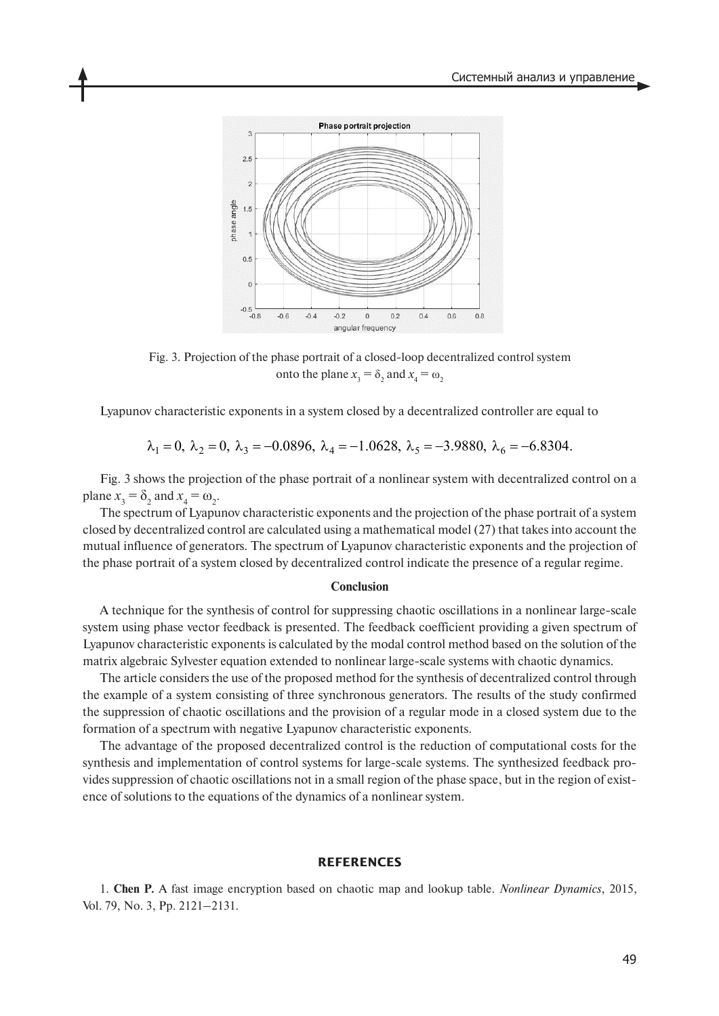

Fig. 3. Projection of the phase portrait of a closed-loop decentralized control system onto the plane  $x_3 = \delta_2$  and  $x_4 = \omega_2$ 

Lyapunov characteristic exponents in a system closed by a decentralized controller are equal to

$$
\lambda_1 = 0
$$
,  $\lambda_2 = 0$ ,  $\lambda_3 = -0.0896$ ,  $\lambda_4 = -1.0628$ ,  $\lambda_5 = -3.9880$ ,  $\lambda_6 = -6.8304$ .

Fig. 3 shows the projection of the phase portrait of a nonlinear system with decentralized control on a plane  $x_3 = \delta_2$  and  $x_4 = \omega_2$ .

The spectrum of Lyapunov characteristic exponents and the projection of the phase portrait of a system closed by decentralized control are calculated using a mathematical model (27) that takes into account the mutual influence of generators. The spectrum of Lyapunov characteristic exponents and the projection of the phase portrait of a system closed by decentralized control indicate the presence of a regular regime.

#### **Conclusion**

A technique for the synthesis of control for suppressing chaotic oscillations in a nonlinear large-scale system using phase vector feedback is presented. The feedback coefficient providing a given spectrum of Lyapunov characteristic exponents is calculated by the modal control method based on the solution of the matrix algebraic Sylvester equation extended to nonlinear large-scale systems with chaotic dynamics.

The article considers the use of the proposed method for the synthesis of decentralized control through the example of a system consisting of three synchronous generators. The results of the study confirmed the suppression of chaotic oscillations and the provision of a regular mode in a closed system due to the formation of a spectrum with negative Lyapunov characteristic exponents.

The advantage of the proposed decentralized control is the reduction of computational costs for the synthesis and implementation of control systems for large-scale systems. The synthesized feedback provides suppression of chaotic oscillations not in a small region of the phase space, but in the region of existence of solutions to the equations of the dynamics of a nonlinear system.

#### **REFERENCES**

1. **Chen P.** A fast image encryption based on chaotic map and lookup table. *Nonlinear Dynamics*, 2015, Vol. 79, No. 3, Pp. 2121–2131.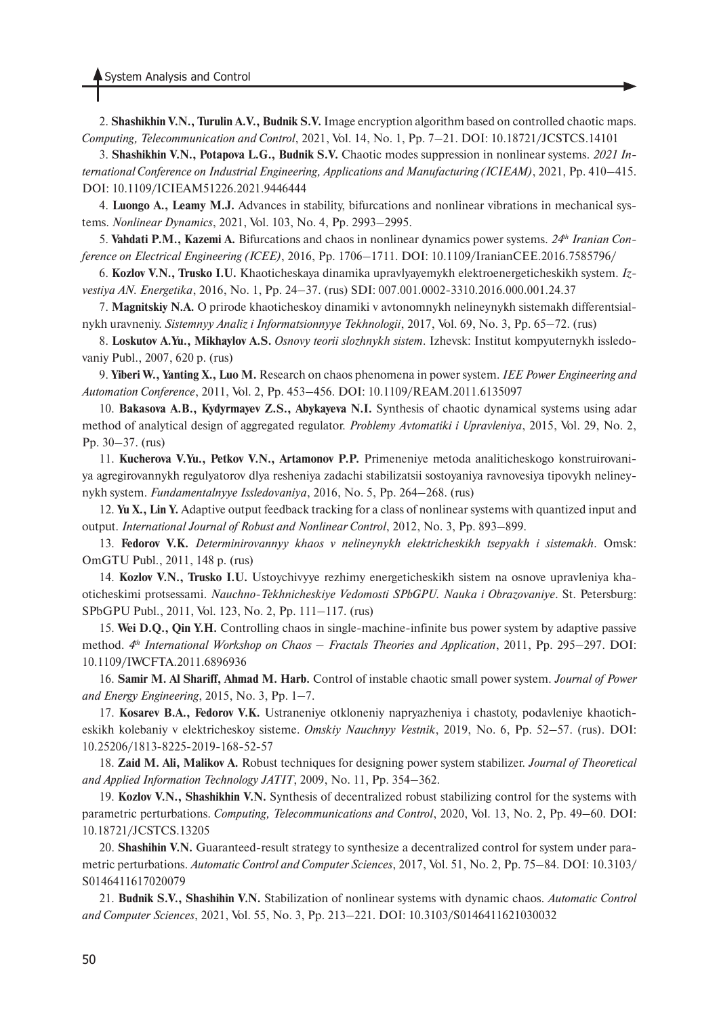2. **Shashikhin V.N., Turulin A.V., Budnik S.V.** Image encryption algorithm based on controlled chaotic maps. *Computing, Telecommunication and Control*, 2021, Vol. 14, No. 1, Pp. 7–21. DOI: 10.18721/JCSTCS.14101

3. **Shashikhin V.N., Potapova L.G., Budnik S.V.** Chaotic modes suppression in nonlinear systems. *2021 International Conference on Industrial Engineering, Applications and Manufacturing (ICIEAM)*, 2021, Pp. 410–415. DOI: 10.1109/ICIEAM51226.2021.9446444

4. **Luongo A., Leamy M.J.** Advances in stability, bifurcations and nonlinear vibrations in mechanical systems. *Nonlinear Dynamics*, 2021, Vol. 103, No. 4, Pp. 2993–2995.

5. **Vahdati P.M., Kazemi A.** Bifurcations and chaos in nonlinear dynamics power systems. *24th Iranian Conference on Electrical Engineering (ICEE)*, 2016, Pp. 1706–1711. DOI: 10.1109/IranianCEE.2016.7585796/

6. **Kozlov V.N., Trusko I.U.** Khaoticheskaya dinamika upravlyayemykh elektroenergeticheskikh system. *Izvestiya AN. Energetika*, 2016, No. 1, Pp. 24–37. (rus) SDI: 007.001.0002-3310.2016.000.001.24.37

7. **Magnitskiy N.A.** O prirode khaoticheskoy dinamiki v avtonomnykh nelineynykh sistemakh differentsialnykh uravneniy. *Sistemnyy Analiz i Informatsionnyye Tekhnologii*, 2017, Vol. 69, No. 3, Pp. 65–72. (rus)

8. **Loskutov A.Yu., Mikhaylov A.S.** *Osnovy teorii slozhnykh sistem*. Izhevsk: Institut kompyuternykh issledovaniy Publ., 2007, 620 p. (rus)

9. **Yiberi W., Yanting X., Luo M.** Research on chaos phenomena in power system. *IEE Power Engineering and Automation Conference*, 2011, Vol. 2, Pp. 453–456. DOI: 10.1109/REAM.2011.6135097

10. **Bakasova A.B., Kydyrmayev Z.S., Abykayeva N.I.** Synthesis of chaotic dynamical systems using adar method of analytical design of aggregated regulator. *Problemy Avtomatiki i Upravleniya*, 2015, Vol. 29, No. 2, Pp. 30–37. (rus)

11. **Kucherova V.Yu., Petkov V.N., Artamonov P.P.** Primeneniye metoda analiticheskogo konstruirovaniya agregirovannykh regulyatorov dlya resheniya zadachi stabilizatsii sostoyaniya ravnovesiya tipovykh nelineynykh system. *Fundamentalnyye Issledovaniya*, 2016, No. 5, Pp. 264–268. (rus)

12. **Yu X., Lin Y.** Adaptive output feedback tracking for a class of nonlinear systems with quantized input and output. *International Journal of Robust and Nonlinear Control*, 2012, No. 3, Pp. 893–899.

13. **Fedorov V.K.** *Determinirovannyy khaos v nelineynykh elektricheskikh tsepyakh i sistemakh*. Omsk: OmGTU Publ., 2011, 148 p. (rus)

14. **Kozlov V.N., Trusko I.U.** Ustoychivyye rezhimy energeticheskikh sistem na osnove upravleniya khaoticheskimi protsessami. *Nauchno-Tekhnicheskiye Vedomosti SPbGPU. Nauka i Obrazovaniye*. St. Petersburg: SPbGPU Publ., 2011, Vol. 123, No. 2, Pp. 111–117. (rus)

15. **Wei D.Q., Qin Y.H.** Controlling chaos in single-machine-infinite bus power system by adaptive passive method. *4th International Workshop on Chaos – Fractals Theories and Application*, 2011, Pp. 295–297. DOI: 10.1109/IWCFTA.2011.6896936

16. **Samir M. Al Shariff, Ahmad M. Harb.** Control of instable chaotic small power system. *Journal of Power and Energy Engineering*, 2015, No. 3, Pp. 1–7.

17. **Kosarev B.A., Fedorov V.K.** Ustraneniye otkloneniy napryazheniya i chastoty, podavleniye khaoticheskikh kolebaniy v elektricheskoy sisteme. *Omskiy Nauchnyy Vestnik*, 2019, No. 6, Pp. 52–57. (rus). DOI: 10.25206/1813-8225-2019-168-52-57

18. **Zaid M. Ali, Malikov A.** Robust techniques for designing power system stabilizer. *Journal of Theoretical and Applied Information Technology JATIT*, 2009, No. 11, Pp. 354–362.

19. **Kozlov V.N., Shashikhin V.N.** Synthesis of decentralized robust stabilizing control for the systems with parametric perturbations. *Computing, Telecommunications and Control*, 2020, Vol. 13, No. 2, Pp. 49–60. DOI: 10.18721/JCSTCS.13205

20. **Shashihin V.N.** Guaranteed-result strategy to synthesize a decentralized control for system under parametric perturbations. *Automatic Control and Computer Sciences*, 2017, Vol. 51, No. 2, Pp. 75–84. DOI: 10.3103/ S0146411617020079

21. **Budnik S.V., Shashihin V.N.** Stabilization of nonlinear systems with dynamic chaos. *Automatic Control and Computer Sciences*, 2021, Vol. 55, No. 3, Pp. 213–221. DOI: 10.3103/S0146411621030032